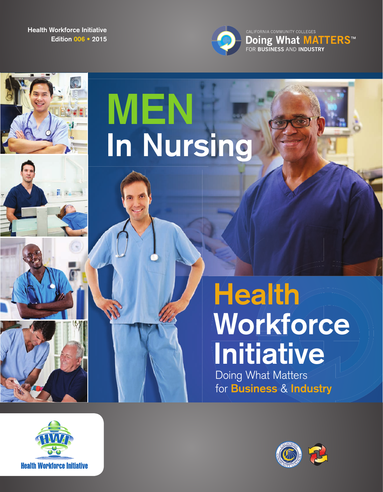**Edition 006 • 2015 Health Workforce Initiative**



看像

# **MEN In Nursing**

## **Health Workforce Initiative**

Doing What Matters for **Business** & **Industry**



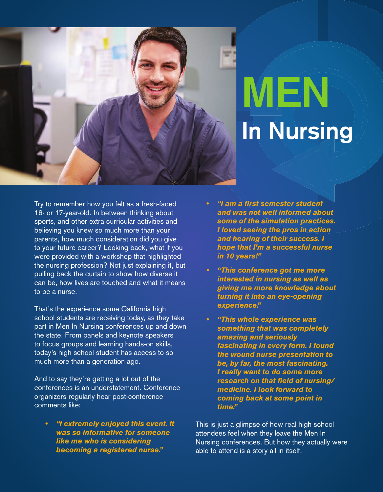

## **MEN In Nursing**

Try to remember how you felt as a fresh-faced 16- or 17-year-old. In between thinking about sports, and other extra curricular activities and believing you knew so much more than your parents, how much consideration did you give to your future career? Looking back, what if you were provided with a workshop that highlighted the nursing profession? Not just explaining it, but pulling back the curtain to show how diverse it can be, how lives are touched and what it means to be a nurse.

That's the experience some California high school students are receiving today, as they take part in Men In Nursing conferences up and down the state. From panels and keynote speakers to focus groups and learning hands-on skills, today's high school student has access to so much more than a generation ago.

And to say they're getting a lot out of the conferences is an understatement. Conference organizers regularly hear post-conference comments like:

**• "I extremely enjoyed this event. It was so informative for someone like me who is considering becoming a registered nurse."**

- **"I am a first semester student and was not well informed about some of the simulation practices. I loved seeing the pros in action and hearing of their success. I hope that I'm a successful nurse in 10 years!"**
- **"This conference got me more interested in nursing as well as giving me more knowledge about turning it into an eye-opening experience."**
- **"This whole experience was something that was completely amazing and seriously fascinating in every form. I found the wound nurse presentation to be, by far, the most fascinating. I really want to do some more research on that field of nursing/ medicine. I look forward to coming back at some point in time."**

This is just a glimpse of how real high school attendees feel when they leave the Men In Nursing conferences. But how they actually were able to attend is a story all in itself.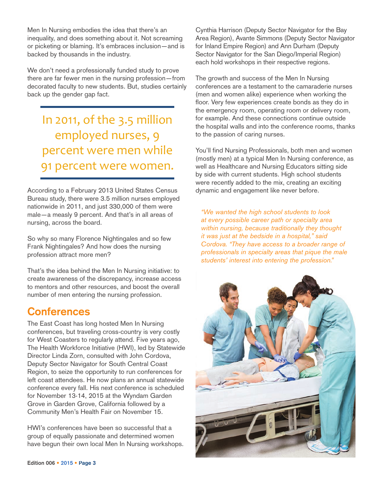Men In Nursing embodies the idea that there's an inequality, and does something about it. Not screaming or picketing or blaming. It's embraces inclusion—and is backed by thousands in the industry.

We don't need a professionally funded study to prove there are far fewer men in the nursing profession—from decorated faculty to new students. But, studies certainly back up the gender gap fact.

In 2011, of the 3.5 million employed nurses, 9 percent were men while 91 percent were women.

According to a February 2013 United States Census Bureau study, there were 3.5 million nurses employed nationwide in 2011, and just 330,000 of them were male—a measly 9 percent. And that's in all areas of nursing, across the board.

So why so many Florence Nightingales and so few Frank Nightingales? And how does the nursing profession attract more men?

That's the idea behind the Men In Nursing initiative: to create awareness of the discrepancy, increase access to mentors and other resources, and boost the overall number of men entering the nursing profession.

### **Conferences**

The East Coast has long hosted Men In Nursing conferences, but traveling cross-country is very costly for West Coasters to regularly attend. Five years ago, The Health Workforce Initiative (HWI), led by Statewide Director Linda Zorn, consulted with John Cordova, Deputy Sector Navigator for South Central Coast Region, to seize the opportunity to run conferences for left coast attendees. He now plans an annual statewide conference every fall. His next conference is scheduled for November 13-14, 2015 at the Wyndam Garden Grove in Garden Grove, California followed by a Community Men's Health Fair on November 15.

HWI's conferences have been so successful that a group of equally passionate and determined women have begun their own local Men In Nursing workshops. Cynthia Harrison (Deputy Sector Navigator for the Bay Area Region), Avante Simmons (Deputy Sector Navigator for Inland Empire Region) and Ann Durham (Deputy Sector Navigator for the San Diego/Imperial Region) each hold workshops in their respective regions.

The growth and success of the Men In Nursing conferences are a testament to the camaraderie nurses (men and women alike) experience when working the floor. Very few experiences create bonds as they do in the emergency room, operating room or delivery room, for example. And these connections continue outside the hospital walls and into the conference rooms, thanks to the passion of caring nurses.

You'll find Nursing Professionals, both men and women (mostly men) at a typical Men In Nursing conference, as well as Healthcare and Nursing Educators sitting side by side with current students. High school students were recently added to the mix, creating an exciting dynamic and engagement like never before.

*"We wanted the high school students to look at every possible career path or specialty area within nursing, because traditionally they thought it was just at the bedside in a hospital," said Cordova. "They have access to a broader range of professionals in specialty areas that pique the male students' interest into entering the profession."*

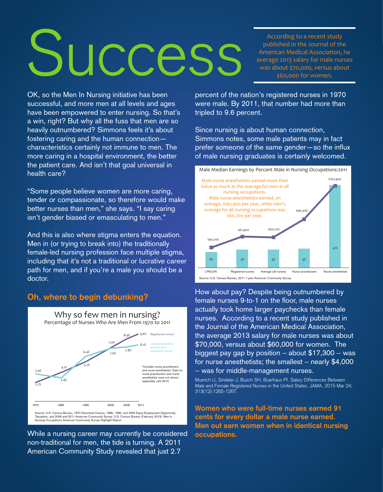# **Success**

According to a recent study published in the Journal of the American Medical Association, he average 2013 salary for male nurses was about \$70,000, versus about \$60,000 for women.

OK, so the Men In Nursing initiative has been successful, and more men at all levels and ages have been empowered to enter nursing. So that's a win, right? But why all the fuss that men are so heavily outnumbered? Simmons feels it's about fostering caring and the human connection characteristics certainly not immune to men. The more caring in a hospital environment, the better the patient care. And isn't that goal universal in health care?

"Some people believe women are more caring, tender or compassionate, so therefore would make better nurses than men," she says. "I say caring isn't gender biased or emasculating to men."

And this is also where stigma enters the equation. Men in (or trying to break into) the traditionally female-led nursing profession face multiple stigma, including that it's not a traditional or lucrative career path for men, and if you're a male you should be a doctor.

#### **Oh, where to begin debunking?**



While a nursing career may currently be considered non-traditional for men, the tide is turning. A 2011 American Community Study revealed that just 2.7

percent of the nation's registered nurses in 1970 were male. By 2011, that number had more than tripled to 9.6 percent.

Since nursing is about human connection, Simmons notes, some male patients may in fact prefer someone of the same gender-so the influx of male nursing graduates is certainly welcomed.



How about pay? Despite being outnumbered by female nurses 9-to-1 on the floor, male nurses actually took home larger paychecks than female nurses. According to a recent study published in the Journal of the American Medical Association, the average 2013 salary for male nurses was about \$70,000, versus about \$60,000 for women. The biggest pay gap by position -- about \$17,300 -- was for nurse anesthetists; the smallest -- nearly \$4,000 -- was for middle-management nurses.

Muench U, Sindelar J, Busch SH, Buerhaus PI. Salary Differences Between Male and Female Registered Nurses in the United States. JAMA. 2015 Mar 24; 313(12):1265-1267.

**Women who were full-time nurses earned 91 cents for every dollar a male nurse earned. Men out earn women when in identical nursing occupations.**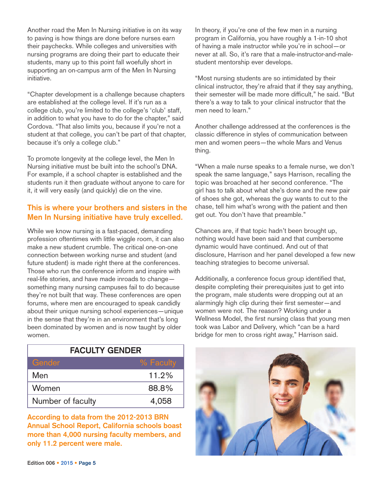Another road the Men In Nursing initiative is on its way to paving is how things are done before nurses earn their paychecks. While colleges and universities with nursing programs are doing their part to educate their students, many up to this point fall woefully short in supporting an on-campus arm of the Men In Nursing initiative.

"Chapter development is a challenge because chapters are established at the college level. If it's run as a college club, you're limited to the college's 'club' staff, in addition to what you have to do for the chapter," said Cordova. "That also limits you, because if you're not a student at that college, you can't be part of that chapter, because it's only a college club."

To promote longevity at the college level, the Men In Nursing initiative must be built into the school's DNA. For example, if a school chapter is established and the students run it then graduate without anyone to care for it, it will very easily (and quickly) die on the vine.

#### **This is where your brothers and sisters in the Men In Nursing initiative have truly excelled.**

While we know nursing is a fast-paced, demanding profession oftentimes with little wiggle room, it can also make a new student crumble. The critical one-on-one connection between working nurse and student (and future student) is made right there at the conferences. Those who run the conference inform and inspire with real-life stories, and have made inroads to change something many nursing campuses fail to do because they're not built that way. These conferences are open forums, where men are encouraged to speak candidly about their unique nursing school experiences—unique in the sense that they're in an environment that's long been dominated by women and is now taught by older women.

| <b>FACULTY GENDER</b> |           |
|-----------------------|-----------|
| Gender                | % Faculty |
| Men                   | 11.2%     |
| Women                 | 88.8%     |
| Number of faculty     | 4,058     |

**According to data from the 2012-2013 BRN Annual School Report, California schools boast more than 4,000 nursing faculty members, and only 11.2 percent were male.** 

In theory, if you're one of the few men in a nursing program in California, you have roughly a 1-in-10 shot of having a male instructor while you're in school—or never at all. So, it's rare that a male-instructor-and-malestudent mentorship ever develops.

"Most nursing students are so intimidated by their clinical instructor, they're afraid that if they say anything, their semester will be made more difficult," he said. "But there's a way to talk to your clinical instructor that the men need to learn."

Another challenge addressed at the conferences is the classic difference in styles of communication between men and women peers—the whole Mars and Venus thing.

"When a male nurse speaks to a female nurse, we don't speak the same language," says Harrison, recalling the topic was broached at her second conference. "The girl has to talk about what she's done and the new pair of shoes she got, whereas the guy wants to cut to the chase, tell him what's wrong with the patient and then get out. You don't have that preamble."

Chances are, if that topic hadn't been brought up, nothing would have been said and that cumbersome dynamic would have continued. And out of that disclosure, Harrison and her panel developed a few new teaching strategies to become universal.

Additionally, a conference focus group identified that, despite completing their prerequisites just to get into the program, male students were dropping out at an alarmingly high clip during their first semester—and women were not. The reason? Working under a Wellness Model, the first nursing class that young men took was Labor and Delivery, which "can be a hard bridge for men to cross right away," Harrison said.

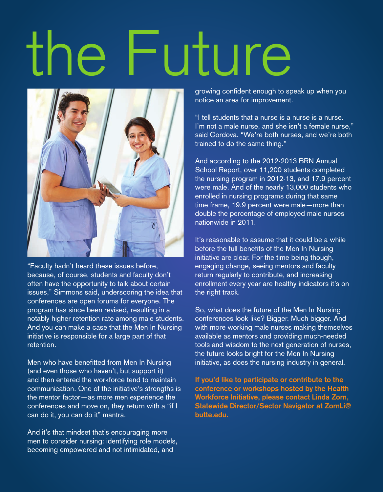# the Future



"Faculty hadn't heard these issues before, because, of course, students and faculty don't often have the opportunity to talk about certain issues," Simmons said, underscoring the idea that conferences are open forums for everyone. The program has since been revised, resulting in a notably higher retention rate among male students. And you can make a case that the Men In Nursing initiative is responsible for a large part of that retention.

Men who have benefitted from Men In Nursing (and even those who haven't, but support it) and then entered the workforce tend to maintain communication. One of the initiative's strengths is the mentor factor—as more men experience the conferences and move on, they return with a "if I can do it, you can do it" mantra.

And it's that mindset that's encouraging more men to consider nursing: identifying role models, becoming empowered and not intimidated, and

growing confident enough to speak up when you notice an area for improvement.

"I tell students that a nurse is a nurse is a nurse. I'm not a male nurse, and she isn't a female nurse," said Cordova. "We're both nurses, and we're both trained to do the same thing."

And according to the 2012-2013 BRN Annual School Report, over 11,200 students completed the nursing program in 2012-13, and 17.9 percent were male. And of the nearly 13,000 students who enrolled in nursing programs during that same time frame, 19.9 percent were male—more than double the percentage of employed male nurses nationwide in 2011.

It's reasonable to assume that it could be a while before the full benefits of the Men In Nursing initiative are clear. For the time being though, engaging change, seeing mentors and faculty return regularly to contribute, and increasing enrollment every year are healthy indicators it's on the right track.

So, what does the future of the Men In Nursing conferences look like? Bigger. Much bigger. And with more working male nurses making themselves available as mentors and providing much-needed tools and wisdom to the next generation of nurses, the future looks bright for the Men In Nursing initiative, as does the nursing industry in general.

**If you'd like to participate or contribute to the conference or workshops hosted by the Health Workforce Initiative, please contact Linda Zorn, Statewide Director/Sector Navigator at ZornLi@ butte.edu.**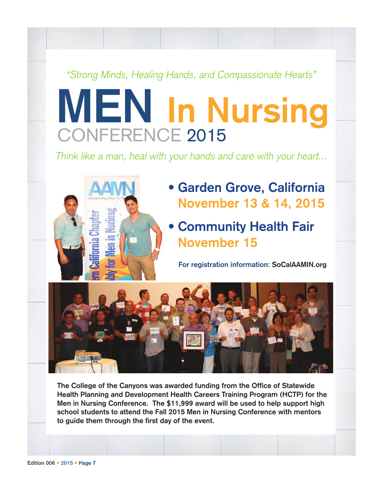### "Strong Minds, Healing Hands, and Compassionate Hearts"

## CONFERENCE 2015 **MEN In Nursing**

Think like a man, heal with your hands and care with your heart...



- **Garden Grove, California November 13 & 14, 2015**
- **Community Health Fair November 15**

**For registration information: SoCalAAMIN.org**



**The College of the Canyons was awarded funding from the Office of Statewide Health Planning and Development Health Careers Training Program (HCTP) for the Men in Nursing Conference. The \$11,999 award will be used to help support high school students to attend the Fall 2015 Men in Nursing Conference with mentors to guide them through the first day of the event.**